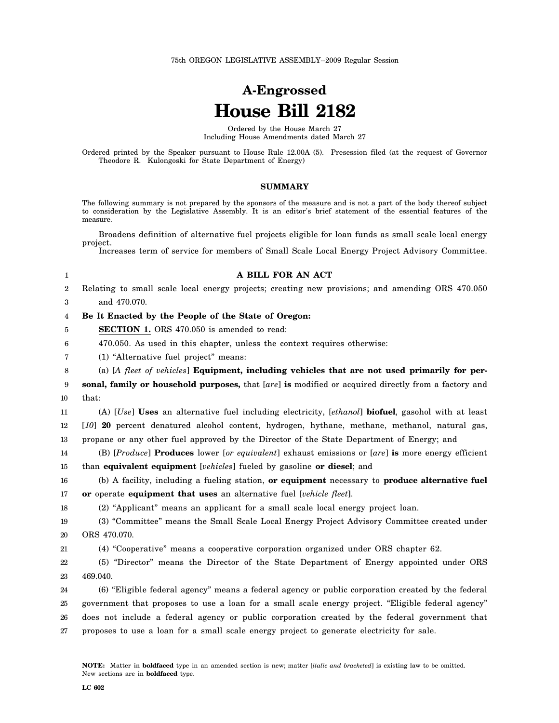## **A-Engrossed House Bill 2182**

Ordered by the House March 27 Including House Amendments dated March 27

Ordered printed by the Speaker pursuant to House Rule 12.00A (5). Presession filed (at the request of Governor Theodore R. Kulongoski for State Department of Energy)

## **SUMMARY**

The following summary is not prepared by the sponsors of the measure and is not a part of the body thereof subject to consideration by the Legislative Assembly. It is an editor′s brief statement of the essential features of the measure.

Broadens definition of alternative fuel projects eligible for loan funds as small scale local energy project.

Increases term of service for members of Small Scale Local Energy Project Advisory Committee.

| 1                | A BILL FOR AN ACT                                                                                   |
|------------------|-----------------------------------------------------------------------------------------------------|
| $\boldsymbol{2}$ | Relating to small scale local energy projects; creating new provisions; and amending ORS 470.050    |
| 3                | and 470.070.                                                                                        |
| 4                | Be It Enacted by the People of the State of Oregon:                                                 |
| 5                | SECTION 1. ORS 470.050 is amended to read:                                                          |
| 6                | 470.050. As used in this chapter, unless the context requires otherwise:                            |
| 7                | (1) "Alternative fuel project" means:                                                               |
| 8                | (a) [A fleet of vehicles] Equipment, including vehicles that are not used primarily for per-        |
| 9                | sonal, family or household purposes, that [are] is modified or acquired directly from a factory and |
| 10               | that:                                                                                               |
| 11               | (A) [Use] Uses an alternative fuel including electricity, [ethanol] biofuel, gasohol with at least  |
| 12               | [10] 20 percent denatured alcohol content, hydrogen, hythane, methane, methanol, natural gas,       |
| 13               | propane or any other fuel approved by the Director of the State Department of Energy; and           |
| 14               | (B) [Produce] Produces lower [or equivalent] exhaust emissions or [are] is more energy efficient    |
| 15               | than equivalent equipment [vehicles] fueled by gasoline or diesel; and                              |
| 16               | (b) A facility, including a fueling station, or equipment necessary to produce alternative fuel     |
| 17               | or operate equipment that uses an alternative fuel [vehicle fleet].                                 |
| 18               | (2) "Applicant" means an applicant for a small scale local energy project loan.                     |
| 19               | (3) "Committee" means the Small Scale Local Energy Project Advisory Committee created under         |
| 20               | ORS 470.070.                                                                                        |
| 21               | (4) "Cooperative" means a cooperative corporation organized under ORS chapter 62.                   |
| 22               | (5) "Director" means the Director of the State Department of Energy appointed under ORS             |
| 23               | 469.040.                                                                                            |
| 24               | (6) "Eligible federal agency" means a federal agency or public corporation created by the federal   |
| 25               | government that proposes to use a loan for a small scale energy project. "Eligible federal agency"  |
| 26               | does not include a federal agency or public corporation created by the federal government that      |
| 27               | proposes to use a loan for a small scale energy project to generate electricity for sale.           |
|                  |                                                                                                     |
|                  |                                                                                                     |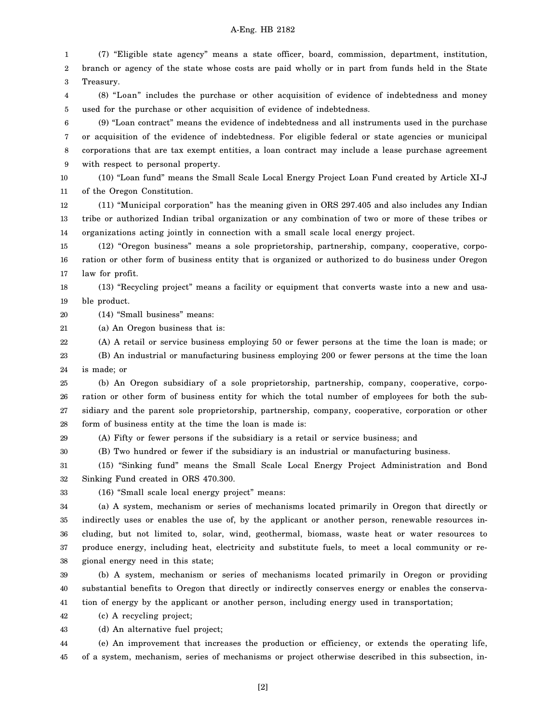## A-Eng. HB 2182

1 2 3 4 5 6 7 8 9 10 11 (7) "Eligible state agency" means a state officer, board, commission, department, institution, branch or agency of the state whose costs are paid wholly or in part from funds held in the State Treasury. (8) "Loan" includes the purchase or other acquisition of evidence of indebtedness and money used for the purchase or other acquisition of evidence of indebtedness. (9) "Loan contract" means the evidence of indebtedness and all instruments used in the purchase or acquisition of the evidence of indebtedness. For eligible federal or state agencies or municipal corporations that are tax exempt entities, a loan contract may include a lease purchase agreement with respect to personal property. (10) "Loan fund" means the Small Scale Local Energy Project Loan Fund created by Article XI-J of the Oregon Constitution.

12 13 14 (11) "Municipal corporation" has the meaning given in ORS 297.405 and also includes any Indian tribe or authorized Indian tribal organization or any combination of two or more of these tribes or organizations acting jointly in connection with a small scale local energy project.

15 16 17 (12) "Oregon business" means a sole proprietorship, partnership, company, cooperative, corporation or other form of business entity that is organized or authorized to do business under Oregon law for profit.

18 19 (13) "Recycling project" means a facility or equipment that converts waste into a new and usable product.

20 (14) "Small business" means:

21 (a) An Oregon business that is:

22 (A) A retail or service business employing 50 or fewer persons at the time the loan is made; or

23 24 (B) An industrial or manufacturing business employing 200 or fewer persons at the time the loan is made; or

25 26 27 28 (b) An Oregon subsidiary of a sole proprietorship, partnership, company, cooperative, corporation or other form of business entity for which the total number of employees for both the subsidiary and the parent sole proprietorship, partnership, company, cooperative, corporation or other form of business entity at the time the loan is made is:

29 (A) Fifty or fewer persons if the subsidiary is a retail or service business; and

30 (B) Two hundred or fewer if the subsidiary is an industrial or manufacturing business.

31 32 (15) "Sinking fund" means the Small Scale Local Energy Project Administration and Bond Sinking Fund created in ORS 470.300.

33

(16) "Small scale local energy project" means:

34 35 36 37 38 (a) A system, mechanism or series of mechanisms located primarily in Oregon that directly or indirectly uses or enables the use of, by the applicant or another person, renewable resources including, but not limited to, solar, wind, geothermal, biomass, waste heat or water resources to produce energy, including heat, electricity and substitute fuels, to meet a local community or regional energy need in this state;

39 40 41 (b) A system, mechanism or series of mechanisms located primarily in Oregon or providing substantial benefits to Oregon that directly or indirectly conserves energy or enables the conservation of energy by the applicant or another person, including energy used in transportation;

42 (c) A recycling project;

43 (d) An alternative fuel project;

44 45 (e) An improvement that increases the production or efficiency, or extends the operating life, of a system, mechanism, series of mechanisms or project otherwise described in this subsection, in-